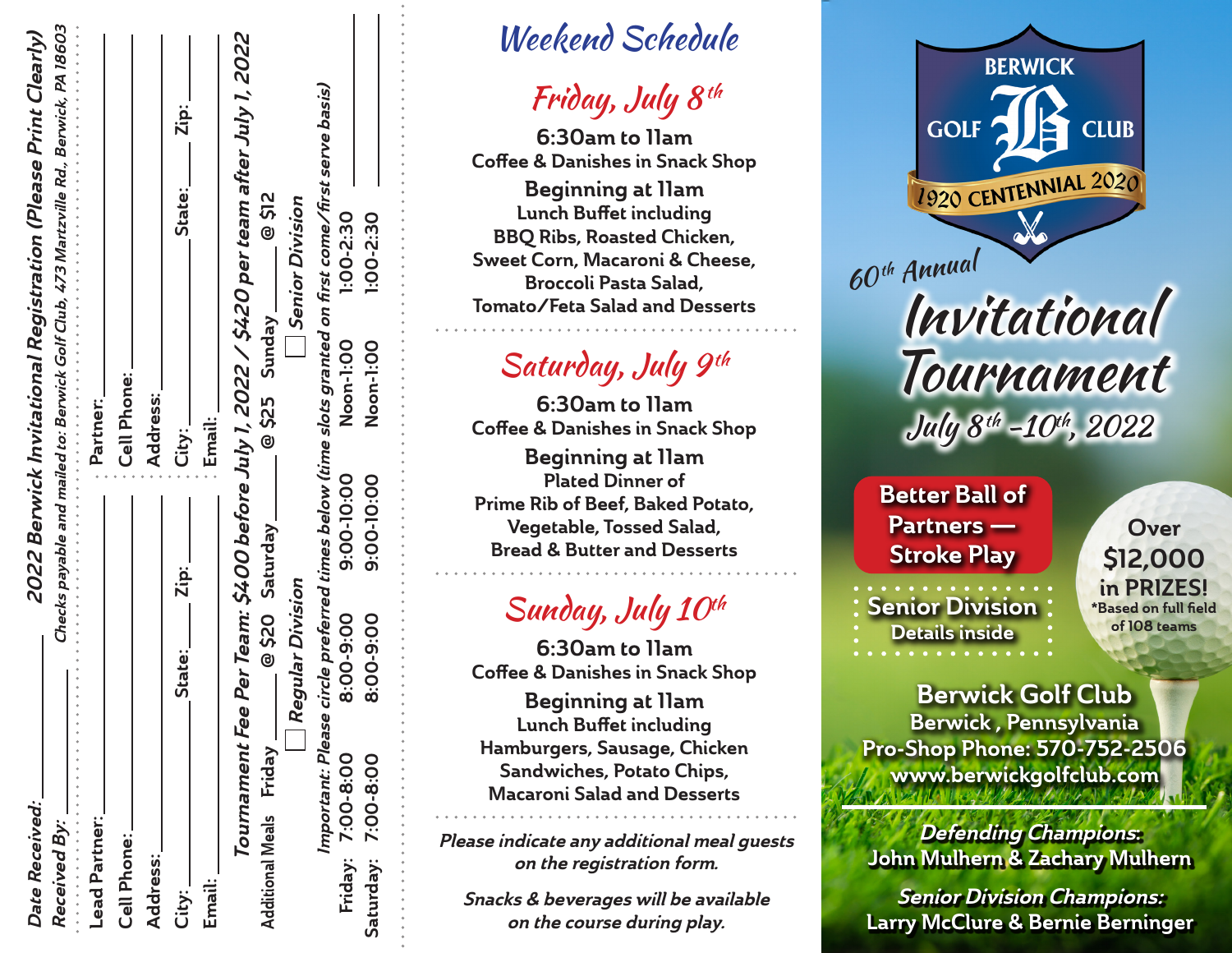| Date Received:          |                   |                  |            |                | 2022 Berwick Invitational Registration (Please Print Clearly)                          |
|-------------------------|-------------------|------------------|------------|----------------|----------------------------------------------------------------------------------------|
| Received By:<br>.       |                   |                  |            |                | Checks payable and mailed to: Berwick Golf Club, 473 Martzville Rd., Berwick, PA 18603 |
| <b>Lead Partner:</b>    |                   |                  |            | Partner:       |                                                                                        |
| Cell Phone:             |                   |                  |            | Cell Phone:    |                                                                                        |
| <b>Address:</b>         |                   |                  |            | Address:       |                                                                                        |
| City:_                  |                   | <b>State:</b>    | Zip: _     | City:_         | Zip:<br><br>State:                                                                     |
| Email:                  |                   |                  | Email:     |                |                                                                                        |
|                         |                   |                  |            |                | Tournament Fee Per Team: \$400 before July 1, 2022 / \$420 per team after July 1, 2022 |
| Additional Meals Friday |                   | @ \$20 Saturday  |            | @ \$25 Sunday_ | <b>@ \$12</b>                                                                          |
|                         |                   | Regular Division |            |                | Senior Division                                                                        |
|                         | Important: Please |                  |            |                | circle preferred times below (time slots granted on first come/first serve basis)      |
| Friday: 7:00-8:00       |                   | 8:00-9:00        | 9:00-10:00 | Noon-1:00      | 1:00-2:30                                                                              |
| Saturday: 7:00-8:00     |                   | 8:00-9:00        | 9:00-10:00 | Noon-1:00      | 1:00-2:30                                                                              |
|                         |                   |                  |            |                |                                                                                        |

### Weekend Schedule

# Friday, July  $8^{th}$

6:30am to 11am Coffee & Danishes in Snack Shop

Beginning at 11am Lunch Buffet including BBQ Ribs, Roasted Chicken, Sweet Corn, Macaroni & Cheese, Broccoli Pasta Salad, Tomato/Feta Salad and Desserts

# Saturday, July 9th

6:30am to 11am Coffee & Danishes in Snack Shop Beginning at 11am Plated Dinner of Prime Rib of Beef, Baked Potato, Vegetable, Tossed Salad, Bread & Butter and Desserts

## Sunday, July  $10^{th}$

6:30am to 11am Coffee & Danishes in Snack Shop Beginning at 11am Lunch Buffet including Hamburgers, Sausage, Chicken Sandwiches, Potato Chips, Macaroni Salad and Desserts

Please indicate any additional meal guests on the registration form.

Snacks & beverages will be available on the course during play.



# Invitational Tournament July  $8^{th}$  -10<sup>th</sup>, 2022

#### Better Ball of Partners — Stroke Play

**Senior Division** Details inside

**Over** \$12,000 in PRIZES! \*Based on full field of 108 teams

Berwick Golf Club Berwick , Pennsylvania Pro-Shop Phone: 570-752-2506 www.berwickgolfclub.com

Defending Champions: John Mulhern & Zachary Mulhern

Senior Division Champions: Larry McClure & Bernie Berninger